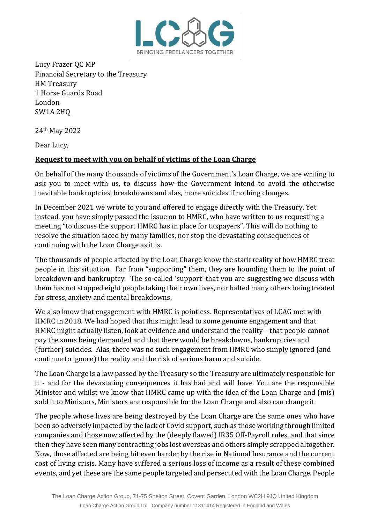

Lucy Frazer QC MP Financial Secretary to the Treasury HM Treasury 1 Horse Guards Road London SW1A 2HQ

24th May 2022

Dear Lucy,

## **Request to meet with you on behalf of victims of the Loan Charge**

On behalf of the many thousands of victims of the Government's Loan Charge, we are writing to ask you to meet with us, to discuss how the Government intend to avoid the otherwise inevitable bankruptcies, breakdowns and alas, more suicides if nothing changes.

In December 2021 we wrote to you and offered to engage directly with the Treasury. Yet instead, you have simply passed the issue on to HMRC, who have written to us requesting a meeting "to discuss the support HMRC has in place for taxpayers". This will do nothing to resolve the situation faced by many families, nor stop the devastating consequences of continuing with the Loan Charge as it is.

The thousands of people affected by the Loan Charge know the stark reality of how HMRC treat people in this situation. Far from "supporting" them, they are hounding them to the point of breakdown and bankruptcy. The so-called 'support' that you are suggesting we discuss with them has not stopped eight people taking their own lives, nor halted many others being treated for stress, anxiety and mental breakdowns.

We also know that engagement with HMRC is pointless. Representatives of LCAG met with HMRC in 2018. We had hoped that this might lead to some genuine engagement and that HMRC might actually listen, look at evidence and understand the reality – that people cannot pay the sums being demanded and that there would be breakdowns, bankruptcies and (further) suicides. Alas, there was no such engagement from HMRC who simply ignored (and continue to ignore) the reality and the risk of serious harm and suicide.

The Loan Charge is a law passed by the Treasury so the Treasury are ultimately responsible for it - and for the devastating consequences it has had and will have. You are the responsible Minister and whilst we know that HMRC came up with the idea of the Loan Charge and (mis) sold it to Ministers, Ministers are responsible for the Loan Charge and also can change it

The people whose lives are being destroyed by the Loan Charge are the same ones who have been so adversely impacted by the lack of Covid support, such as those working through limited companies and those now affected by the (deeply flawed) IR35 Off-Payroll rules, and that since then they have seen many contracting jobs lost overseas and others simply scrapped altogether. Now, those affected are being hit even harder by the rise in National Insurance and the current cost of living crisis. Many have suffered a serious loss of income as a result of these combined events, and yetthese are the same people targeted and persecuted with the Loan Charge. People